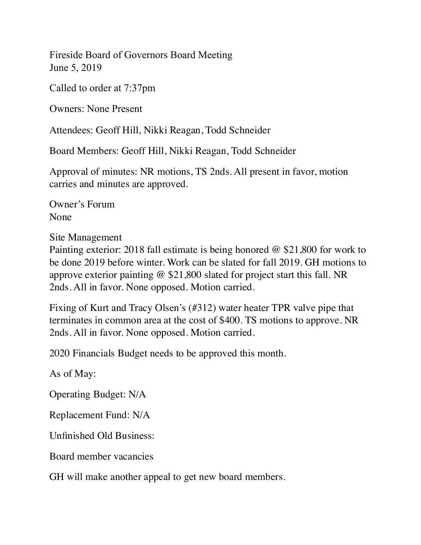Fireside Board of Governors Board Meeting June 5, 2019

Called to order at 7:37pm

Owners: None Present

Attendees: Geoff Hill, Nikki Reagan, Todd Schneider

Board Members: Geoff Hill, Nikki Reagan, Todd Schneider

Approval of minutes: NR motions, TS 2nds. All present in favor, motion carries and minutes are approved.

Owner's Forum None

Site Management

Painting exterior: 2018 fall estimate is being honored @ \$21,800 for work to be done 2019 before winter. Work can be slated for fall 2019. GH motions to approve exterior painting @ \$21,800 slated for project start this fall. NR 2nds. All in favor. None opposed. Motion carried.

Fixing of Kurt and Tracy Olsen's (#312) water heater TPR valve pipe that terminates in common area at the cost of \$400. TS motions to approve. NR 2nds. All in favor. None opposed. Motion carried.

2020 Financials Budget needs to be approved this month.

As of May:

Operating Budget: N/A

Replacement Fund: N/A

Unfinished Old Business:

Board member vacancies

GH will make another appeal to get new board members.